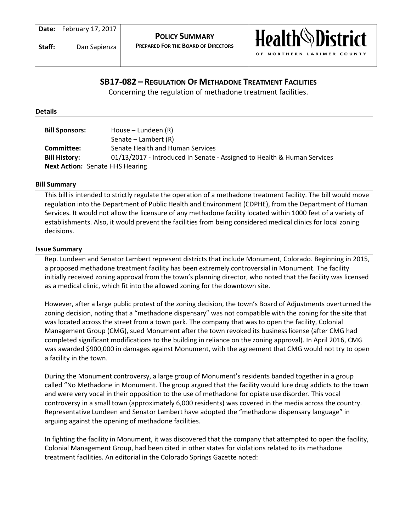

# **SB17-082 – REGULATION OF METHADONE TREATMENT FACILITIES**

Concerning the regulation of methadone treatment facilities.

### **Details**

| <b>Bill Sponsors:</b> | House – Lundeen (R)                                                     |
|-----------------------|-------------------------------------------------------------------------|
|                       | Senate – Lambert (R)                                                    |
| Committee:            | Senate Health and Human Services                                        |
| <b>Bill History:</b>  | 01/13/2017 - Introduced In Senate - Assigned to Health & Human Services |
|                       | <b>Next Action:</b> Senate HHS Hearing                                  |

### **Bill Summary**

This bill is intended to strictly regulate the operation of a methadone treatment facility. The bill would move regulation into the Department of Public Health and Environment (CDPHE), from the Department of Human Services. It would not allow the licensure of any methadone facility located within 1000 feet of a variety of establishments. Also, it would prevent the facilities from being considered medical clinics for local zoning decisions.

### **Issue Summary**

Rep. Lundeen and Senator Lambert represent districts that include Monument, Colorado. Beginning in 2015, a proposed methadone treatment facility has been extremely controversial in Monument. The facility initially received zoning approval from the town's planning director, who noted that the facility was licensed as a medical clinic, which fit into the allowed zoning for the downtown site.

However, after a large public protest of the zoning decision, the town's Board of Adjustments overturned the zoning decision, noting that a "methadone dispensary" was not compatible with the zoning for the site that was located across the street from a town park. The company that was to open the facility, Colonial Management Group (CMG), sued Monument after the town revoked its business license (after CMG had completed significant modifications to the building in reliance on the zoning approval). In April 2016, CMG was awarded \$900,000 in damages against Monument, with the agreement that CMG would not try to open a facility in the town.

During the Monument controversy, a large group of Monument's residents banded together in a group called "No Methadone in Monument. The group argued that the facility would lure drug addicts to the town and were very vocal in their opposition to the use of methadone for opiate use disorder. This vocal controversy in a small town (approximately 6,000 residents) was covered in the media across the country. Representative Lundeen and Senator Lambert have adopted the "methadone dispensary language" in arguing against the opening of methadone facilities.

In fighting the facility in Monument, it was discovered that the company that attempted to open the facility, Colonial Management Group, had been cited in other states for violations related to its methadone treatment facilities. An editorial in the Colorado Springs Gazette noted: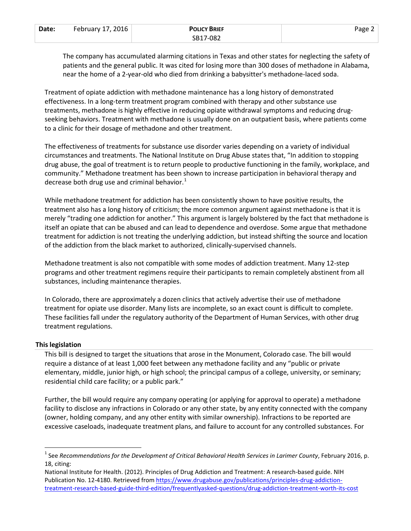| Date: | February 17, 2016 | <b>POLICY BRIEF</b> | Page $\angle$ |
|-------|-------------------|---------------------|---------------|
|       |                   | SB17-082            |               |

The company has accumulated alarming citations in Texas and other states for neglecting the safety of patients and the general public. It was cited for losing more than 300 doses of methadone in Alabama, near the home of a 2-year-old who died from drinking a babysitter's methadone-laced soda.

Treatment of opiate addiction with methadone maintenance has a long history of demonstrated effectiveness. In a long-term treatment program combined with therapy and other substance use treatments, methadone is highly effective in reducing opiate withdrawal symptoms and reducing drugseeking behaviors. Treatment with methadone is usually done on an outpatient basis, where patients come to a clinic for their dosage of methadone and other treatment.

The effectiveness of treatments for substance use disorder varies depending on a variety of individual circumstances and treatments. The National Institute on Drug Abuse states that, "In addition to stopping drug abuse, the goal of treatment is to return people to productive functioning in the family, workplace, and community." Methadone treatment has been shown to increase participation in behavioral therapy and decrease both drug use and criminal behavior. $<sup>1</sup>$  $<sup>1</sup>$  $<sup>1</sup>$ </sup>

While methadone treatment for addiction has been consistently shown to have positive results, the treatment also has a long history of criticism; the more common argument against methadone is that it is merely "trading one addiction for another." This argument is largely bolstered by the fact that methadone is itself an opiate that can be abused and can lead to dependence and overdose. Some argue that methadone treatment for addiction is not treating the underlying addiction, but instead shifting the source and location of the addiction from the black market to authorized, clinically-supervised channels.

Methadone treatment is also not compatible with some modes of addiction treatment. Many 12-step programs and other treatment regimens require their participants to remain completely abstinent from all substances, including maintenance therapies.

In Colorado, there are approximately a dozen clinics that actively advertise their use of methadone treatment for opiate use disorder. Many lists are incomplete, so an exact count is difficult to complete. These facilities fall under the regulatory authority of the Department of Human Services, with other drug treatment regulations.

# **This legislation**

This bill is designed to target the situations that arose in the Monument, Colorado case. The bill would require a distance of at least 1,000 feet between any methadone facility and any "public or private elementary, middle, junior high, or high school; the principal campus of a college, university, or seminary; residential child care facility; or a public park."

Further, the bill would require any company operating (or applying for approval to operate) a methadone facility to disclose any infractions in Colorado or any other state, by any entity connected with the company (owner, holding company, and any other entity with similar ownership). Infractions to be reported are excessive caseloads, inadequate treatment plans, and failure to account for any controlled substances. For

<span id="page-1-0"></span><sup>&</sup>lt;sup>1</sup> See *Recommendations for the Development of Critical Behavioral Health Services in Larimer County, February 2016, p.* 18, citing:

National Institute for Health. (2012). Principles of Drug Addiction and Treatment: A research-based guide. NIH Publication No. 12-4180. Retrieved fro[m https://www.drugabuse.gov/publications/principles-drug-addiction](https://www.drugabuse.gov/publications/principles-drug-addiction-treatment-research-based-guide-third-edition/frequentlyasked-questions/drug-addiction-treatment-worth-its-cost)[treatment-research-based-guide-third-edition/frequentlyasked-questions/drug-addiction-treatment-worth-its-cost](https://www.drugabuse.gov/publications/principles-drug-addiction-treatment-research-based-guide-third-edition/frequentlyasked-questions/drug-addiction-treatment-worth-its-cost)